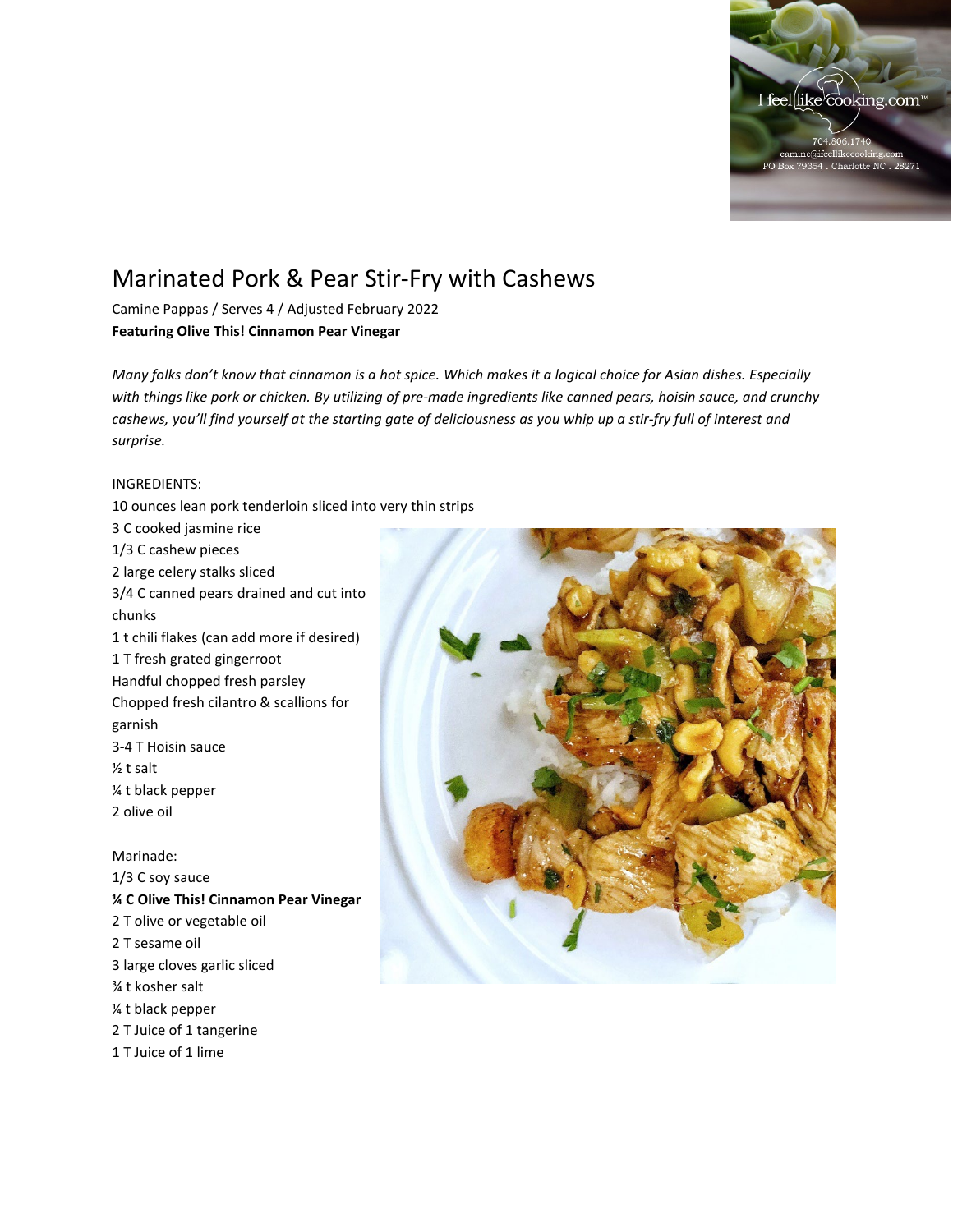

## Marinated Pork & Pear Stir-Fry with Cashews

Camine Pappas / Serves 4 / Adjusted February 2022 **Featuring Olive This! Cinnamon Pear Vinegar**

*Many folks don't know that cinnamon is a hot spice. Which makes it a logical choice for Asian dishes. Especially with things like pork or chicken. By utilizing of pre-made ingredients like canned pears, hoisin sauce, and crunchy cashews, you'll find yourself at the starting gate of deliciousness as you whip up a stir-fry full of interest and surprise.* 

## INGREDIENTS:

10 ounces lean pork tenderloin sliced into very thin strips 3 C cooked jasmine rice 1/3 C cashew pieces 2 large celery stalks sliced 3/4 C canned pears drained and cut into chunks 1 t chili flakes (can add more if desired) 1 T fresh grated gingerroot Handful chopped fresh parsley Chopped fresh cilantro & scallions for garnish 3-4 T Hoisin sauce ½ t salt ¼ t black pepper 2 olive oil

Marinade: 1/3 C soy sauce **¼ C Olive This! Cinnamon Pear Vinegar** 2 T olive or vegetable oil 2 T sesame oil 3 large cloves garlic sliced ¾ t kosher salt ¼ t black pepper 2 T Juice of 1 tangerine 1 T Juice of 1 lime